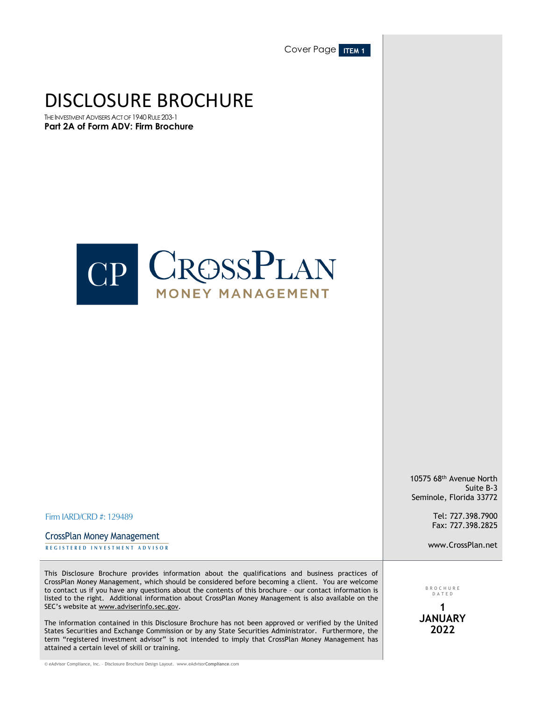Cover Page **ITEM 1** 

# DISCLOSURE BROCHURE

THE INVESTMENT ADVISERS ACT OF 1940 RULE 203-1 **Part 2A of Form ADV: Firm Brochure**



10575 68th Avenue North Suite B-3 Seminole, Florida 33772

> Tel: 727.398.7900 Fax: 727.398.2825

www.CrossPlan.net

Firm IARD/CRD #: 129489

**REGISTERED INVESTMENT ADVISOR** CrossPlan Money Management

This Disclosure Brochure provides information about the qualifications and business practices of CrossPlan Money Management, which should be considered before becoming a client. You are welcome to contact us if you have any questions about the contents of this brochure – our contact information is listed to the right. Additional information about CrossPlan Money Management is also available on the SEC's website at www.adviserinfo.sec.gov.

The information contained in this Disclosure Brochure has not been approved or verified by the United States Securities and Exchange Commission or by any State Securities Administrator. Furthermore, the term "registered investment advisor" is not intended to imply that CrossPlan Money Management has attained a certain level of skill or training.

BROCHUR E DATE D

**1 JANUARY 2022**

© eAdvisor Compliance, Inc. – Disclosure Brochure Design Layout. www.eAdvisor**Compliance**.com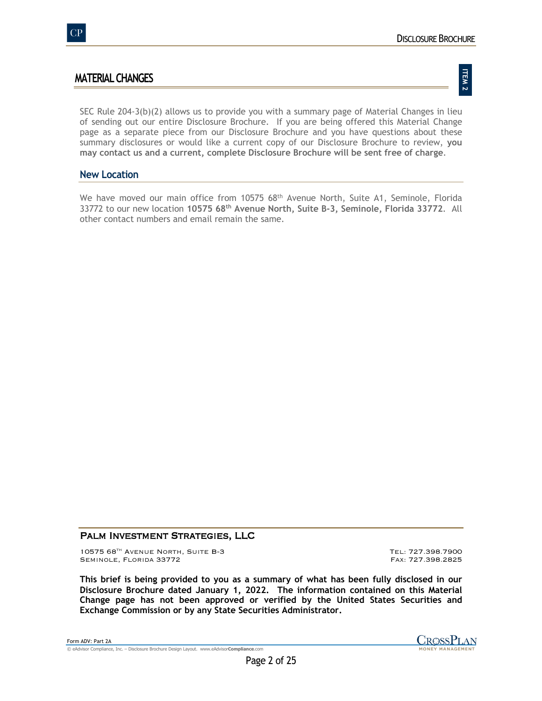# **MATERIAL CHANGES**

# **ITEM 2**

SEC Rule 204-3(b)(2) allows us to provide you with a summary page of Material Changes in lieu of sending out our entire Disclosure Brochure. If you are being offered this Material Change page as a separate piece from our Disclosure Brochure and you have questions about these summary disclosures or would like a current copy of our Disclosure Brochure to review, **you may contact us and a current, complete Disclosure Brochure will be sent free of charge**.

# **New Location**

We have moved our main office from  $1057568$ <sup>th</sup> Avenue North, Suite A1, Seminole, Florida 33772 to our new location **10575 68th Avenue North, Suite B-3, Seminole, Florida 33772**. All other contact numbers and email remain the same.

# PALM INVESTMENT STRATEGIES, LLC

10575 68<sup>th</sup> Avenue North, Suite B-3 Tel: 727.398.7900<br>Seminole, Florida 33772 SEMINOLE, FLORIDA 33772

**This brief is being provided to you as a summary of what has been fully disclosed in our Disclosure Brochure dated January 1, 2022. The information contained on this Material Change page has not been approved or verified by the United States Securities and Exchange Commission or by any State Securities Administrator.**

Form ADV: Part 2A © eAdvisor Compliance, Inc. – Disclosure Brochure Design Layout. www.eAdvisor**Compliance**.com

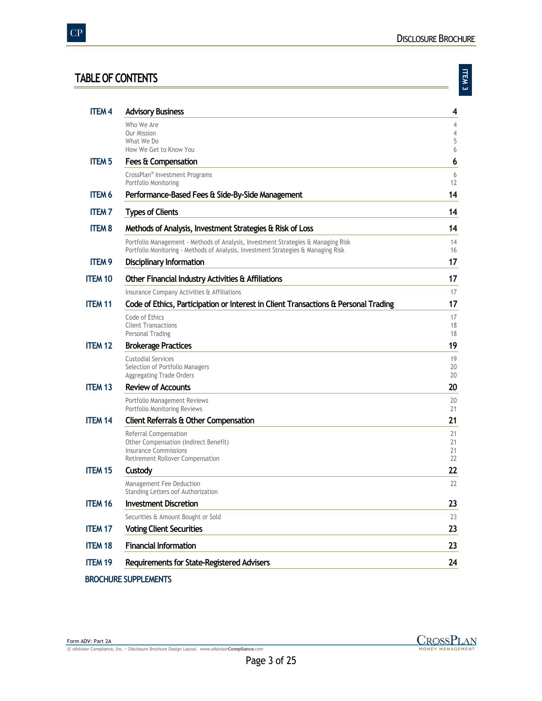# **TABLE OF CONTENTS**

| ÷ |
|---|
|   |
|   |
|   |
| r |

| <b>ITEM4</b>   | <b>Advisory Business</b>                                                                                                                                               | 4                   |
|----------------|------------------------------------------------------------------------------------------------------------------------------------------------------------------------|---------------------|
|                | Who We Are                                                                                                                                                             | 4                   |
|                | Our Mission<br>What We Do                                                                                                                                              | $\overline{4}$<br>5 |
|                | How We Get to Know You                                                                                                                                                 | 6                   |
| <b>ITEM 5</b>  | Fees & Compensation                                                                                                                                                    | 6                   |
|                | CrossPlan <sup>®</sup> Investment Programs<br>Portfolio Monitoring                                                                                                     | 6<br>12             |
| <b>ITEM 6</b>  | Performance-Based Fees & Side-By-Side Management                                                                                                                       | 14                  |
| <b>ITEM 7</b>  | <b>Types of Clients</b>                                                                                                                                                | 14                  |
| <b>ITEM 8</b>  | Methods of Analysis, Investment Strategies & Risk of Loss                                                                                                              | 14                  |
|                | Portfolio Management - Methods of Analysis, Investment Strategies & Managing Risk<br>Portfolio Monitoring - Methods of Analysis, Investment Strategies & Managing Risk | 14<br>16            |
| <b>ITEM 9</b>  | <b>Disciplinary Information</b>                                                                                                                                        | 17                  |
| <b>ITEM 10</b> | Other Financial Industry Activities & Affiliations                                                                                                                     | 17                  |
|                | Insurance Company Activities & Affiliations                                                                                                                            | 17                  |
| <b>ITEM 11</b> | Code of Ethics, Participation or Interest in Client Transactions & Personal Trading                                                                                    | 17                  |
|                | Code of Ethics                                                                                                                                                         | 17                  |
|                | <b>Client Transactions</b><br>Personal Trading                                                                                                                         | 18<br>18            |
| <b>ITEM 12</b> | <b>Brokerage Practices</b>                                                                                                                                             | 19                  |
|                | <b>Custodial Services</b>                                                                                                                                              | 19                  |
|                | Selection of Portfolio Managers<br>Aggregating Trade Orders                                                                                                            | 20<br>20            |
| <b>ITEM 13</b> | <b>Review of Accounts</b>                                                                                                                                              | 20                  |
|                | Portfolio Management Reviews                                                                                                                                           | 20                  |
|                | Portfolio Monitoring Reviews                                                                                                                                           | 21                  |
| <b>ITEM 14</b> | Client Referrals & Other Compensation                                                                                                                                  | 21                  |
|                | Referral Compensation<br>Other Compensation (Indirect Benefit)                                                                                                         | 21<br>21            |
|                | <b>Insurance Commissions</b>                                                                                                                                           | 21                  |
|                | Retirement Rollover Compensation                                                                                                                                       | 22                  |
| <b>ITEM 15</b> | Custody                                                                                                                                                                | 22                  |
|                | Management Fee Deduction<br>Standing Letters oof Authorization                                                                                                         | 22                  |
| <b>ITEM 16</b> | <b>Investment Discretion</b>                                                                                                                                           | 23                  |
|                | Securities & Amount Bought or Sold                                                                                                                                     | 23                  |
| <b>ITEM 17</b> | <b>Voting Client Securities</b>                                                                                                                                        | 23                  |
| <b>ITEM 18</b> | <b>Financial Information</b>                                                                                                                                           | 23                  |
| <b>ITEM 19</b> | Requirements for State-Registered Advisers                                                                                                                             | 24                  |
|                |                                                                                                                                                                        |                     |

**BROCHURE SUPPLEMENTS**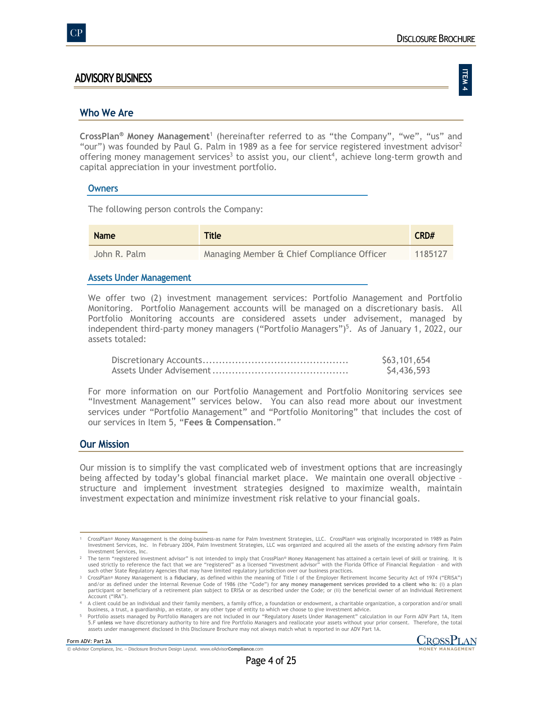**ITEM 4**

# **ADVISORY BUSINESS**

## **Who We Are**

**CrossPlan® Money Management**<sup>1</sup> (hereinafter referred to as "the Company", "we", "us" and "our") was founded by Paul G. Palm in 1989 as a fee for service registered investment advisor<sup>2</sup> offering money management services<sup>3</sup> to assist you, our client<sup>4</sup>, achieve long-term growth and capital appreciation in your investment portfolio.

#### **Owners**

The following person controls the Company:

| <b>Name</b>  | <b>Title</b>                               | CRD#    |
|--------------|--------------------------------------------|---------|
| John R. Palm | Managing Member & Chief Compliance Officer | 1185127 |

#### **Assets Under Management**

We offer two (2) investment management services: Portfolio Management and Portfolio Monitoring. Portfolio Management accounts will be managed on a discretionary basis. All Portfolio Monitoring accounts are considered assets under advisement, managed by independent third-party money managers ("Portfolio Managers")<sup>5</sup>. As of January 1, 2022, our assets totaled:

| \$63,101,654 |
|--------------|
| \$4,436,593  |

For more information on our Portfolio Management and Portfolio Monitoring services see "Investment Management" services below. You can also read more about our investment services under "Portfolio Management" and "Portfolio Monitoring" that includes the cost of our services in Item 5, "**Fees & Compensation**."

## **Our Mission**

Our mission is to simplify the vast complicated web of investment options that are increasingly being affected by today's global financial market place. We maintain one overall objective – structure and implement investment strategies designed to maximize wealth, maintain investment expectation and minimize investment risk relative to your financial goals.

TrossPlan® Money Management is the doing-business-as name for Palm Investment Strategies, LLC. CrossPlan® was originally incorporated in 1989 as Palm اnvestment Strategies, ILC was organized and acquired all the assets of Investment Services, Inc.

The term "registered investment advisor" is not intended to imply that CrossPlan® Money Management has attained a certain level of skill or training. It is لآ 2<br>used strictly to reference the fact that we are "registered" such other State Regulatory Agencies that may have limited regulatory jurisdiction over our business practices.

TrossPlan® Money Management is a fiduciary, as defined within the meaning of Title I of the Employer Retirement Income Security Act of 1974 ("ERISA")<br>and/or as defined under the Internal Revenue Code of 1986 (the "Code") f participant or beneficiary of a retirement plan subject to ERISA or as described under the Code; or (ii) the beneficial owner of an Individual Retirement Account ("IRA").

<sup>4</sup> A client could be an individual and their family members, a family office, a foundation or endowment, a charitable organization, a corporation and/or small business, a trust, a guardianship, an estate, or any other type of entity to which we choose to give investment advice.

<sup>5</sup> Portfolio assets managed by Portfolio Managers are not included in our "Regulatory Assets Under Management" calculation in our Form ADV Part 1A, Item 5.F unless we have discretionary authority to hire and fire Portfolio Managers and reallocate your assets without your prior consent. Therefore, the total<br>assets under management disclosed in this Disclosure Brochure may

<sup>©</sup> eAdvisor Compliance, Inc. – Disclosure Brochure Design Layout. www.eAdvisor**Compliance**.com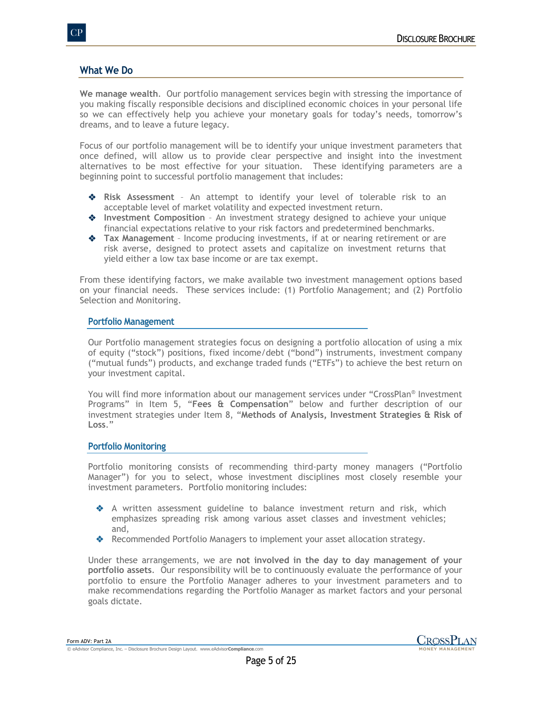# **What We Do**

**We manage wealth**. Our portfolio management services begin with stressing the importance of you making fiscally responsible decisions and disciplined economic choices in your personal life so we can effectively help you achieve your monetary goals for today's needs, tomorrow's dreams, and to leave a future legacy.

Focus of our portfolio management will be to identify your unique investment parameters that once defined, will allow us to provide clear perspective and insight into the investment alternatives to be most effective for your situation. These identifying parameters are a beginning point to successful portfolio management that includes:

- v **Risk Assessment** An attempt to identify your level of tolerable risk to an acceptable level of market volatility and expected investment return.
- v **Investment Composition** An investment strategy designed to achieve your unique financial expectations relative to your risk factors and predetermined benchmarks.
- ◆ Tax Management Income producing investments, if at or nearing retirement or are risk averse, designed to protect assets and capitalize on investment returns that yield either a low tax base income or are tax exempt.

From these identifying factors, we make available two investment management options based on your financial needs. These services include: (1) Portfolio Management; and (2) Portfolio Selection and Monitoring.

### **Portfolio Management**

Our Portfolio management strategies focus on designing a portfolio allocation of using a mix of equity ("stock") positions, fixed income/debt ("bond") instruments, investment company ("mutual funds") products, and exchange traded funds ("ETFs") to achieve the best return on your investment capital.

You will find more information about our management services under "CrossPlan® Investment Programs" in Item 5, "**Fees & Compensation**" below and further description of our investment strategies under Item 8, "**Methods of Analysis, Investment Strategies & Risk of Loss**."

## **Portfolio Monitoring**

Portfolio monitoring consists of recommending third-party money managers ("Portfolio Manager") for you to select, whose investment disciplines most closely resemble your investment parameters. Portfolio monitoring includes:

- v A written assessment guideline to balance investment return and risk, which emphasizes spreading risk among various asset classes and investment vehicles; and,
- \* Recommended Portfolio Managers to implement your asset allocation strategy.

Under these arrangements, we are **not involved in the day to day management of your portfolio assets**. Our responsibility will be to continuously evaluate the performance of your portfolio to ensure the Portfolio Manager adheres to your investment parameters and to make recommendations regarding the Portfolio Manager as market factors and your personal goals dictate.

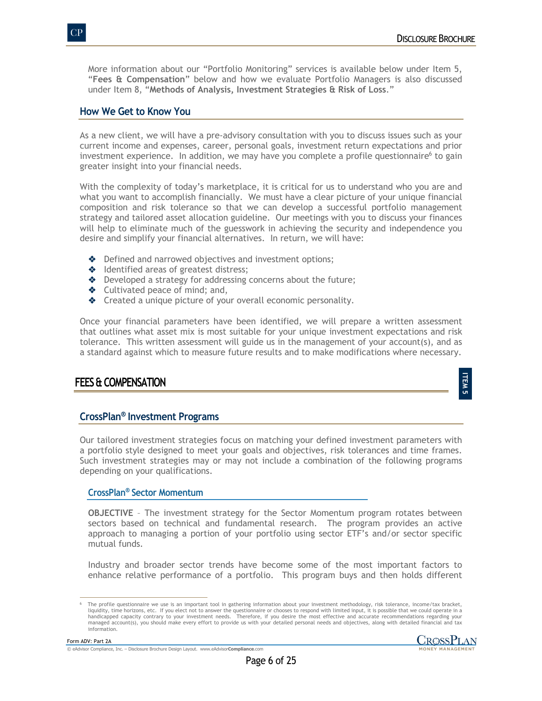More information about our "Portfolio Monitoring" services is available below under Item 5, "**Fees & Compensation**" below and how we evaluate Portfolio Managers is also discussed under Item 8, "**Methods of Analysis, Investment Strategies & Risk of Loss**."

# **How We Get to Know You**

As a new client, we will have a pre-advisory consultation with you to discuss issues such as your current income and expenses, career, personal goals, investment return expectations and prior investment experience. In addition, we may have you complete a profile questionnaire<sup>6</sup> to gain greater insight into your financial needs.

With the complexity of today's marketplace, it is critical for us to understand who you are and what you want to accomplish financially. We must have a clear picture of your unique financial composition and risk tolerance so that we can develop a successful portfolio management strategy and tailored asset allocation guideline. Our meetings with you to discuss your finances will help to eliminate much of the guesswork in achieving the security and independence you desire and simplify your financial alternatives. In return, we will have:

- $\triangle$  Defined and narrowed objectives and investment options;
- Identified areas of greatest distress;
- $\triangle$  Developed a strategy for addressing concerns about the future;
- $\triangleleft$  Cultivated peace of mind; and,
- ◆ Created a unique picture of your overall economic personality.

Once your financial parameters have been identified, we will prepare a written assessment that outlines what asset mix is most suitable for your unique investment expectations and risk tolerance. This written assessment will guide us in the management of your account(s), and as a standard against which to measure future results and to make modifications where necessary.

# **FEES & COMPENSATION**

# **CrossPlan® Investment Programs**

Our tailored investment strategies focus on matching your defined investment parameters with a portfolio style designed to meet your goals and objectives, risk tolerances and time frames. Such investment strategies may or may not include a combination of the following programs depending on your qualifications.

## **CrossPlan® Sector Momentum**

**OBJECTIVE** – The investment strategy for the Sector Momentum program rotates between sectors based on technical and fundamental research. The program provides an active approach to managing a portion of your portfolio using sector ETF's and/or sector specific mutual funds.

Industry and broader sector trends have become some of the most important factors to enhance relative performance of a portfolio. This program buys and then holds different

**ITEM Сл** 

The profile questionnaire we use is an important tool in gathering information about your investment methodology, risk tolerance, income/tax bracket, liquidity, time horizons, etc. If you elect not to answer the questionnaire or chooses to respond with limited input, it is possible that we could operate in a<br>handicapped capacity contrary to your investment needs. Theref managed account(s), you should make every effort to provide us with your detailed personal needs and objectives, along with detailed financial and tax information.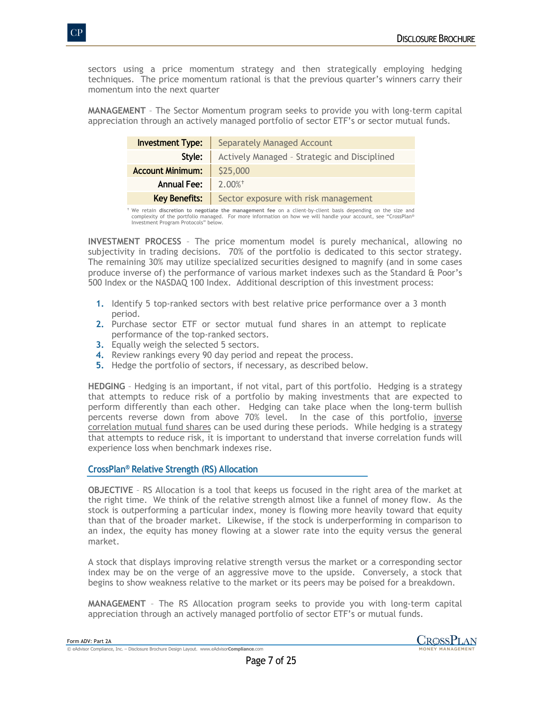sectors using a price momentum strategy and then strategically employing hedging techniques. The price momentum rational is that the previous quarter's winners carry their momentum into the next quarter

**MANAGEMENT** – The Sector Momentum program seeks to provide you with long-term capital appreciation through an actively managed portfolio of sector ETF's or sector mutual funds.

| <b>Investment Type:</b> | <b>Separately Managed Account</b>            |
|-------------------------|----------------------------------------------|
| Style:                  | Actively Managed - Strategic and Disciplined |
| <b>Account Minimum:</b> | \$25,000                                     |
| <b>Annual Fee:</b>      | $2.00\%$ <sup>+</sup>                        |
| <b>Key Benefits:</b>    | Sector exposure with risk management         |

 We retain **discretion to negotiate the management fee** on a client-by-client basis depending on the size and complexity of the portfolio managed. For more information on how we will handle your account, see "CrossPlan® Investment Program Protocols" below.

**INVESTMENT PROCESS** – The price momentum model is purely mechanical, allowing no subjectivity in trading decisions. 70% of the portfolio is dedicated to this sector strategy. The remaining 30% may utilize specialized securities designed to magnify (and in some cases produce inverse of) the performance of various market indexes such as the Standard & Poor's 500 Index or the NASDAQ 100 Index. Additional description of this investment process:

- **1.** Identify 5 top-ranked sectors with best relative price performance over a 3 month period.
- **2.** Purchase sector ETF or sector mutual fund shares in an attempt to replicate performance of the top-ranked sectors.
- **3.** Equally weigh the selected 5 sectors.
- **4.** Review rankings every 90 day period and repeat the process.
- **5.** Hedge the portfolio of sectors, if necessary, as described below.

**HEDGING** – Hedging is an important, if not vital, part of this portfolio. Hedging is a strategy that attempts to reduce risk of a portfolio by making investments that are expected to perform differently than each other. Hedging can take place when the long-term bullish percents reverse down from above 70% level. In the case of this portfolio, inverse correlation mutual fund shares can be used during these periods. While hedging is a strategy that attempts to reduce risk, it is important to understand that inverse correlation funds will experience loss when benchmark indexes rise.

# **CrossPlan® Relative Strength (RS) Allocation**

**OBJECTIVE** – RS Allocation is a tool that keeps us focused in the right area of the market at the right time. We think of the relative strength almost like a funnel of money flow. As the stock is outperforming a particular index, money is flowing more heavily toward that equity than that of the broader market. Likewise, if the stock is underperforming in comparison to an index, the equity has money flowing at a slower rate into the equity versus the general market.

A stock that displays improving relative strength versus the market or a corresponding sector index may be on the verge of an aggressive move to the upside. Conversely, a stock that begins to show weakness relative to the market or its peers may be poised for a breakdown.

**MANAGEMENT** – The RS Allocation program seeks to provide you with long-term capital appreciation through an actively managed portfolio of sector ETF's or mutual funds.

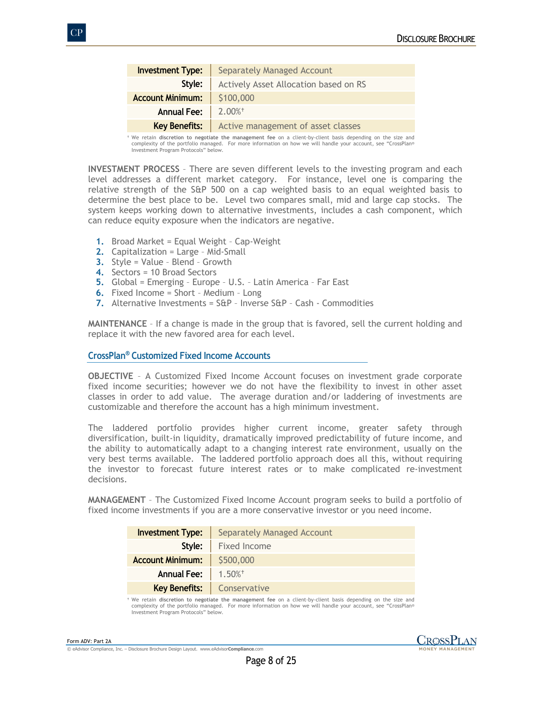| <b>Investment Type:</b> | <b>Separately Managed Account</b>                         |
|-------------------------|-----------------------------------------------------------|
| Style:                  | Actively Asset Allocation based on RS                     |
| <b>Account Minimum:</b> | \$100,000                                                 |
| <b>Annual Fee:</b>      | $\parallel 2.00\%$ <sup>+</sup>                           |
|                         | <b>Key Benefits:</b>   Active management of asset classes |

 We retain **discretion to negotiate the management fee** on a client-by-client basis depending on the size and complexity of the portfolio managed. For more information on how we will handle your account, see "CrossPlan® Investment Program Protocols" below.

**INVESTMENT PROCESS** – There are seven different levels to the investing program and each level addresses a different market category. For instance, level one is comparing the relative strength of the S&P 500 on a cap weighted basis to an equal weighted basis to determine the best place to be. Level two compares small, mid and large cap stocks. The system keeps working down to alternative investments, includes a cash component, which can reduce equity exposure when the indicators are negative.

- **1.** Broad Market = Equal Weight Cap-Weight
- **2.** Capitalization = Large Mid-Small
- **3.** Style = Value Blend Growth
- **4.** Sectors = 10 Broad Sectors
- **5.** Global = Emerging Europe U.S. Latin America Far East
- **6.** Fixed Income = Short Medium Long
- **7.** Alternative Investments = S&P Inverse S&P Cash Commodities

**MAINTENANCE** – If a change is made in the group that is favored, sell the current holding and replace it with the new favored area for each level.

### **CrossPlan® Customized Fixed Income Accounts**

**OBJECTIVE** – A Customized Fixed Income Account focuses on investment grade corporate fixed income securities; however we do not have the flexibility to invest in other asset classes in order to add value. The average duration and/or laddering of investments are customizable and therefore the account has a high minimum investment.

The laddered portfolio provides higher current income, greater safety through diversification, built-in liquidity, dramatically improved predictability of future income, and the ability to automatically adapt to a changing interest rate environment, usually on the very best terms available. The laddered portfolio approach does all this, without requiring the investor to forecast future interest rates or to make complicated re-investment decisions.

**MANAGEMENT** – The Customized Fixed Income Account program seeks to build a portfolio of fixed income investments if you are a more conservative investor or you need income.

| <b>Investment Type:</b> | Separately Managed Account        |
|-------------------------|-----------------------------------|
| Style:                  | Fixed Income                      |
| <b>Account Minimum:</b> | \$500,000                         |
| <b>Annual Fee:</b>      | $1.50\%$ <sup>+</sup>             |
|                         | <b>Key Benefits:</b> Conservative |

 We retain **discretion to negotiate the management fee** on a client-by-client basis depending on the size and complexity of the portfolio managed. For more information on how we will handle your account, see "CrossPlan® Investment Program Protocols" below.

Form ADV: Part 2A



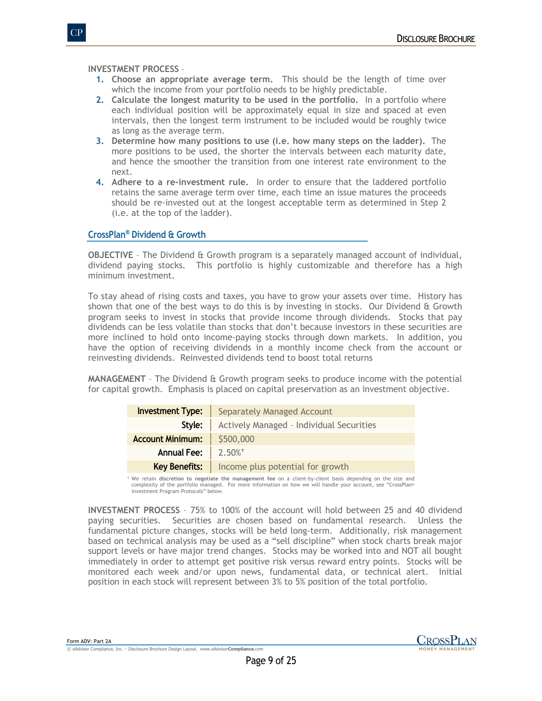**INVESTMENT PROCESS** –

- **1. Choose an appropriate average term.** This should be the length of time over which the income from your portfolio needs to be highly predictable.
- **2. Calculate the longest maturity to be used in the portfolio.** In a portfolio where each individual position will be approximately equal in size and spaced at even intervals, then the longest term instrument to be included would be roughly twice as long as the average term.
- **3. Determine how many positions to use (i.e. how many steps on the ladder).** The more positions to be used, the shorter the intervals between each maturity date, and hence the smoother the transition from one interest rate environment to the next.
- **4. Adhere to a re-investment rule.** In order to ensure that the laddered portfolio retains the same average term over time, each time an issue matures the proceeds should be re-invested out at the longest acceptable term as determined in Step 2 (i.e. at the top of the ladder).

# **CrossPlan® Dividend & Growth**

**OBJECTIVE** – The Dividend & Growth program is a separately managed account of individual, dividend paying stocks. This portfolio is highly customizable and therefore has a high minimum investment.

To stay ahead of rising costs and taxes, you have to grow your assets over time. History has shown that one of the best ways to do this is by investing in stocks. Our Dividend & Growth program seeks to invest in stocks that provide income through dividends. Stocks that pay dividends can be less volatile than stocks that don't because investors in these securities are more inclined to hold onto income-paying stocks through down markets. In addition, you have the option of receiving dividends in a monthly income check from the account or reinvesting dividends. Reinvested dividends tend to boost total returns

**MANAGEMENT** – The Dividend & Growth program seeks to produce income with the potential for capital growth. Emphasis is placed on capital preservation as an investment objective.

| <b>Investment Type:</b> | <b>Separately Managed Account</b>        |
|-------------------------|------------------------------------------|
| Style:                  | Actively Managed - Individual Securities |
| <b>Account Minimum:</b> | \$500,000                                |
| <b>Annual Fee:</b>      | $\parallel$ 2.50% <sup>+</sup>           |
| <b>Key Benefits:</b>    | Income plus potential for growth         |

 We retain **discretion to negotiate the management fee** on a client-by-client basis depending on the size and complexity of the portfolio managed. For more information on how we will handle your account, see "CrossPlan® Investment Program Protocols" below.

**INVESTMENT PROCESS** – 75% to 100% of the account will hold between 25 and 40 dividend paying securities. Securities are chosen based on fundamental research. Unless the fundamental picture changes, stocks will be held long-term. Additionally, risk management based on technical analysis may be used as a "sell discipline" when stock charts break major support levels or have major trend changes. Stocks may be worked into and NOT all bought immediately in order to attempt get positive risk versus reward entry points. Stocks will be monitored each week and/or upon news, fundamental data, or technical alert. Initial position in each stock will represent between 3% to 5% position of the total portfolio.

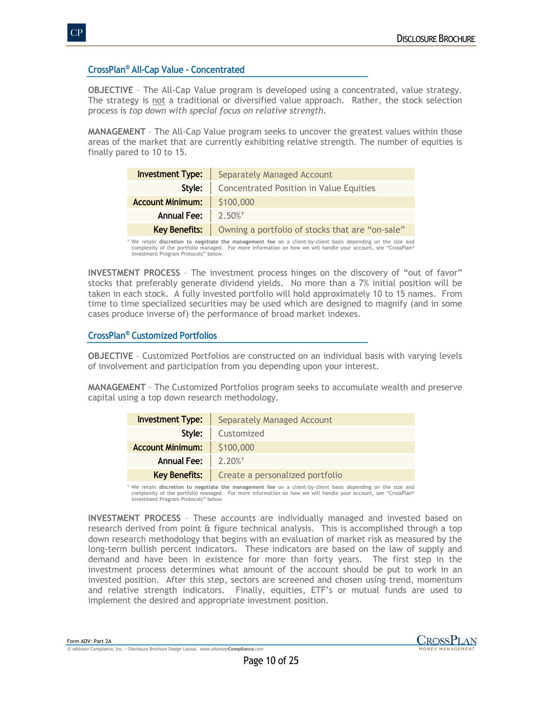# **CrossPlan® All-Cap Value - Concentrated**

**OBJECTIVE** – The All-Cap Value program is developed using a concentrated, value strategy. The strategy is not a traditional or diversified value approach. Rather, the stock selection process is *top down with special focus on relative strength*.

**MANAGEMENT** – The All-Cap Value program seeks to uncover the greatest values within those areas of the market that are currently exhibiting relative strength. The number of equities is finally pared to 10 to 15.

| <b>Investment Type:</b>           | <b>Separately Managed Account</b>                                      |
|-----------------------------------|------------------------------------------------------------------------|
| Style:                            | Concentrated Position in Value Equities                                |
| <b>Account Minimum:</b> \$100,000 |                                                                        |
| Annual Fee: $2.50\%$ <sup>+</sup> |                                                                        |
|                                   | <b>Key Benefits:</b>   Owning a portfolio of stocks that are "on-sale" |

 We retain **discretion to negotiate the management fee** on a client-by-client basis depending on the size and complexity of the portfolio managed. For more information on how we will handle your account, see "CrossPlan® Investment Program Protocols" below.

**INVESTMENT PROCESS** – The investment process hinges on the discovery of "out of favor" stocks that preferably generate dividend yields. No more than a 7% initial position will be taken in each stock. A fully invested portfolio will hold approximately 10 to 15 names. From time to time specialized securities may be used which are designed to magnify (and in some cases produce inverse of) the performance of broad market indexes.

# **CrossPlan® Customized Portfolios**

**OBJECTIVE** – Customized Portfolios are constructed on an individual basis with varying levels of involvement and participation from you depending upon your interest.

**MANAGEMENT** – The Customized Portfolios program seeks to accumulate wealth and preserve capital using a top down research methodology.

| <b>Investment Type:</b>        | <b>Separately Managed Account</b>                      |
|--------------------------------|--------------------------------------------------------|
| Style:                         | Customized                                             |
| <b>Account Minimum:</b>        | \$100,000                                              |
| Annual Fee: 2.20% <sup>+</sup> |                                                        |
|                                | <b>Key Benefits:</b>   Create a personalized portfolio |

 We retain **discretion to negotiate the management fee** on a client-by-client basis depending on the size and complexity of the portfolio managed. For more information on how we will handle your account, see "CrossPlan® Investment Program Protocols" below.

**INVESTMENT PROCESS** – These accounts are individually managed and invested based on research derived from point & figure technical analysis. This is accomplished through a top down research methodology that begins with an evaluation of market risk as measured by the long-term bullish percent indicators. These indicators are based on the law of supply and demand and have been in existence for more than forty years. The first step in the investment process determines what amount of the account should be put to work in an invested position. After this step, sectors are screened and chosen using trend, momentum and relative strength indicators. Finally, equities, ETF's or mutual funds are used to implement the desired and appropriate investment position.

Form ADV: Part 2A © eAdvisor Compliance, Inc. – Disclosure Brochure Design Layout. www.eAdvisor**Compliance**.com

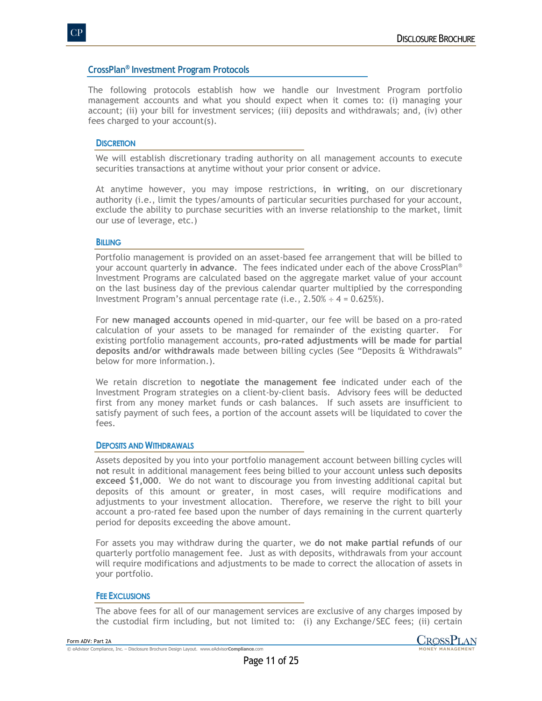# **CrossPlan® Investment Program Protocols**

The following protocols establish how we handle our Investment Program portfolio management accounts and what you should expect when it comes to: (i) managing your account; (ii) your bill for investment services; (iii) deposits and withdrawals; and, (iv) other fees charged to your account(s).

### **DISCRETION**

We will establish discretionary trading authority on all management accounts to execute securities transactions at anytime without your prior consent or advice.

At anytime however, you may impose restrictions, **in writing**, on our discretionary authority (i.e., limit the types/amounts of particular securities purchased for your account, exclude the ability to purchase securities with an inverse relationship to the market, limit our use of leverage, etc.)

### **BILLING**

Portfolio management is provided on an asset-based fee arrangement that will be billed to your account quarterly **in advance**. The fees indicated under each of the above CrossPlan® Investment Programs are calculated based on the aggregate market value of your account on the last business day of the previous calendar quarter multiplied by the corresponding Investment Program's annual percentage rate (i.e.,  $2.50\% \div 4 = 0.625\%$ ).

For **new managed accounts** opened in mid-quarter, our fee will be based on a pro-rated calculation of your assets to be managed for remainder of the existing quarter. For existing portfolio management accounts, **pro-rated adjustments will be made for partial deposits and/or withdrawals** made between billing cycles (See "Deposits & Withdrawals" below for more information.).

We retain discretion to **negotiate the management fee** indicated under each of the Investment Program strategies on a client-by-client basis. Advisory fees will be deducted first from any money market funds or cash balances. If such assets are insufficient to satisfy payment of such fees, a portion of the account assets will be liquidated to cover the fees.

#### **DEPOSITS AND WITHDRAWALS**

Assets deposited by you into your portfolio management account between billing cycles will **not** result in additional management fees being billed to your account **unless such deposits exceed \$1,000**. We do not want to discourage you from investing additional capital but deposits of this amount or greater, in most cases, will require modifications and adjustments to your investment allocation. Therefore, we reserve the right to bill your account a pro-rated fee based upon the number of days remaining in the current quarterly period for deposits exceeding the above amount.

For assets you may withdraw during the quarter, we **do not make partial refunds** of our quarterly portfolio management fee. Just as with deposits, withdrawals from your account will require modifications and adjustments to be made to correct the allocation of assets in your portfolio.

#### **FEE EXCLUSIONS**

The above fees for all of our management services are exclusive of any charges imposed by the custodial firm including, but not limited to: (i) any Exchange/SEC fees; (ii) certain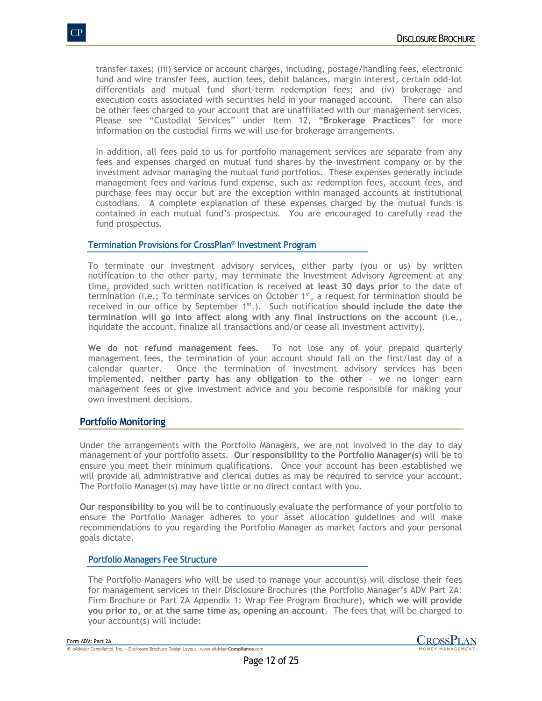transfer taxes; (iii) service or account charges, including, postage/handling fees, electronic fund and wire transfer fees, auction fees, debit balances, margin interest, certain odd-lot differentials and mutual fund short-term redemption fees; and (iv) brokerage and execution costs associated with securities held in your managed account. There can also be other fees charged to your account that are unaffiliated with our management services. Please see "Custodial Services" under Item 12, "**Brokerage Practices**" for more information on the custodial firms we will use for brokerage arrangements.

In addition, all fees paid to us for portfolio management services are separate from any fees and expenses charged on mutual fund shares by the investment company or by the investment advisor managing the mutual fund portfolios. These expenses generally include management fees and various fund expense, such as: redemption fees, account fees, and purchase fees may occur but are the exception within managed accounts at institutional custodians. A complete explanation of these expenses charged by the mutual funds is contained in each mutual fund's prospectus. You are encouraged to carefully read the fund prospectus.

## **Termination Provisions for CrossPlan® Investment Program**

To terminate our investment advisory services, either party (you or us) by written notification to the other party, may terminate the Investment Advisory Agreement at any time, provided such written notification is received **at least 30 days prior** to the date of termination (i.e.; To terminate services on October  $1<sup>st</sup>$ , a request for termination should be received in our office by September 1<sup>st</sup>.). Such notification should include the date the **termination will go into affect along with any final instructions on the account** (i.e., liquidate the account, finalize all transactions and/or cease all investment activity).

**We do not refund management fees.** To not lose any of your prepaid quarterly management fees, the termination of your account should fall on the first/last day of a calendar quarter. Once the termination of investment advisory services has been implemented, **neither party has any obligation to the other** – we no longer earn management fees or give investment advice and you become responsible for making your own investment decisions.

## **Portfolio Monitoring**

Under the arrangements with the Portfolio Managers, we are not involved in the day to day management of your portfolio assets. **Our responsibility to the Portfolio Manager(s)** will be to ensure you meet their minimum qualifications. Once your account has been established we will provide all administrative and clerical duties as may be required to service your account. The Portfolio Manager(s) may have little or no direct contact with you.

**Our responsibility to you** will be to continuously evaluate the performance of your portfolio to ensure the Portfolio Manager adheres to your asset allocation guidelines and will make recommendations to you regarding the Portfolio Manager as market factors and your personal goals dictate.

#### **Portfolio Managers Fee Structure**

The Portfolio Managers who will be used to manage your account(s) will disclose their fees for management services in their Disclosure Brochures (the Portfolio Manager's ADV Part 2A: Firm Brochure or Part 2A Appendix 1: Wrap Fee Program Brochure), **which we will provide you prior to, or at the same time as, opening an account**. The fees that will be charged to your account(s) will include: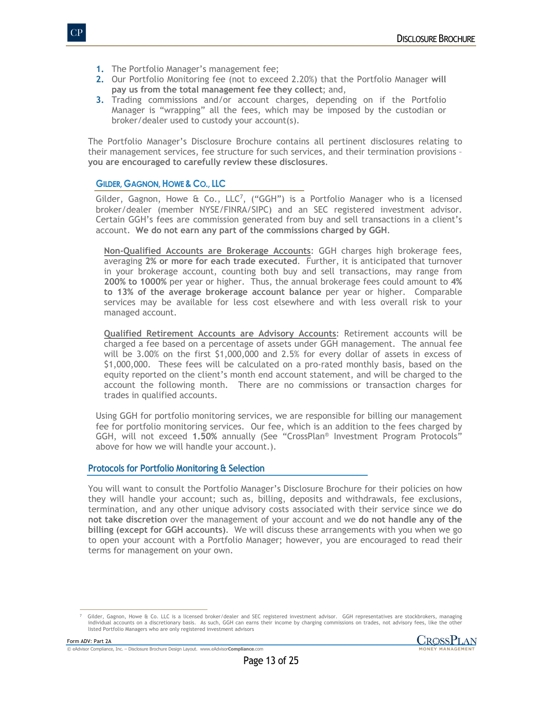- **1.** The Portfolio Manager's management fee;
- **2.** Our Portfolio Monitoring fee (not to exceed 2.20%) that the Portfolio Manager **will pay us from the total management fee they collect**; and,
- **3.** Trading commissions and/or account charges, depending on if the Portfolio Manager is "wrapping" all the fees, which may be imposed by the custodian or broker/dealer used to custody your account(s).

The Portfolio Manager's Disclosure Brochure contains all pertinent disclosures relating to their management services, fee structure for such services, and their termination provisions – **you are encouraged to carefully review these disclosures**.

## **GILDER, GAGNON,HOWE & CO., LLC**

Gilder, Gagnon, Howe & Co.,  $LLC^7$ , ("GGH") is a Portfolio Manager who is a licensed broker/dealer (member NYSE/FINRA/SIPC) and an SEC registered investment advisor. Certain GGH's fees are commission generated from buy and sell transactions in a client's account. **We do not earn any part of the commissions charged by GGH**.

**Non-Qualified Accounts are Brokerage Accounts**: GGH charges high brokerage fees, averaging **2% or more for each trade executed**. Further, it is anticipated that turnover in your brokerage account, counting both buy and sell transactions, may range from **200% to 1000%** per year or higher. Thus, the annual brokerage fees could amount to **4% to 13% of the average brokerage account balance** per year or higher. Comparable services may be available for less cost elsewhere and with less overall risk to your managed account.

**Qualified Retirement Accounts are Advisory Accounts**: Retirement accounts will be charged a fee based on a percentage of assets under GGH management. The annual fee will be 3.00% on the first \$1,000,000 and 2.5% for every dollar of assets in excess of \$1,000,000. These fees will be calculated on a pro-rated monthly basis, based on the equity reported on the client's month end account statement, and will be charged to the account the following month. There are no commissions or transaction charges for trades in qualified accounts.

Using GGH for portfolio monitoring services, we are responsible for billing our management fee for portfolio monitoring services. Our fee, which is an addition to the fees charged by GGH, will not exceed **1.50%** annually (See "CrossPlan® Investment Program Protocols" above for how we will handle your account.).

## **Protocols for Portfolio Monitoring & Selection**

You will want to consult the Portfolio Manager's Disclosure Brochure for their policies on how they will handle your account; such as, billing, deposits and withdrawals, fee exclusions, termination, and any other unique advisory costs associated with their service since we **do not take discretion** over the management of your account and we **do not handle any of the billing (except for GGH accounts)**. We will discuss these arrangements with you when we go to open your account with a Portfolio Manager; however, you are encouraged to read their terms for management on your own.

<sup>7</sup> Gilder, Gagnon, Howe & Co. LLC is a licensed broker/dealer and SEC registered investment advisor. GGH representatives are stockbrokers, managing individual accounts on a discretionary basis. As such, GGH can earns their income by charging commissions on trades, not advisory fees, like the other listed Portfolio Managers who are only registered investment advisors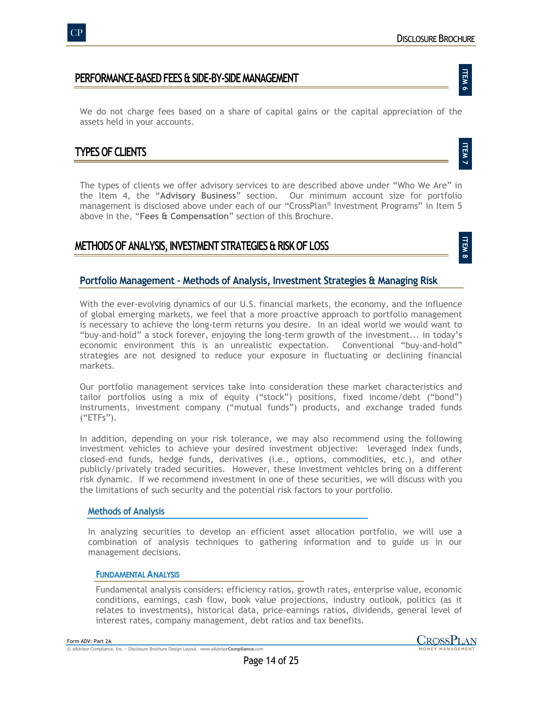**ITEM 6**

**ITEM 7**

**ITEM 8**

# **PERFORMANCE-BASED FEES & SIDE-BY-SIDE MANAGEMENT**

We do not charge fees based on a share of capital gains or the capital appreciation of the assets held in your accounts.

# **TYPES OF CLIENTS**

The types of clients we offer advisory services to are described above under "Who We Are" in the Item 4, the "**Advisory Business**" section. Our minimum account size for portfolio management is disclosed above under each of our "CrossPlan® Investment Programs" in Item 5 above in the, "**Fees & Compensation**" section of this Brochure.

# **METHODS OF ANALYSIS, INVESTMENT STRATEGIES & RISK OF LOSS**

# **Portfolio Management – Methods of Analysis, Investment Strategies & Managing Risk**

With the ever-evolving dynamics of our U.S. financial markets, the economy, and the influence of global emerging markets, we feel that a more proactive approach to portfolio management is necessary to achieve the long-term returns you desire. In an ideal world we would want to "buy-and-hold" a stock forever, enjoying the long-term growth of the investment... in today's economic environment this is an unrealistic expectation. Conventional "buy-and-hold" strategies are not designed to reduce your exposure in fluctuating or declining financial markets.

Our portfolio management services take into consideration these market characteristics and tailor portfolios using a mix of equity ("stock") positions, fixed income/debt ("bond") instruments, investment company ("mutual funds") products, and exchange traded funds ("ETFs").

In addition, depending on your risk tolerance, we may also recommend using the following investment vehicles to achieve your desired investment objective: leveraged index funds, closed-end funds, hedge funds, derivatives (i.e., options, commodities, etc.), and other publicly/privately traded securities. However, these investment vehicles bring on a different risk dynamic. If we recommend investment in one of these securities, we will discuss with you the limitations of such security and the potential risk factors to your portfolio.

## **Methods of Analysis**

In analyzing securities to develop an efficient asset allocation portfolio, we will use a combination of analysis techniques to gathering information and to guide us in our management decisions.

## **FUNDAMENTAL ANALYSIS**

Fundamental analysis considers: efficiency ratios, growth rates, enterprise value, economic conditions, earnings, cash flow, book value projections, industry outlook, politics (as it relates to investments), historical data, price-earnings ratios, dividends, general level of interest rates, company management, debt ratios and tax benefits.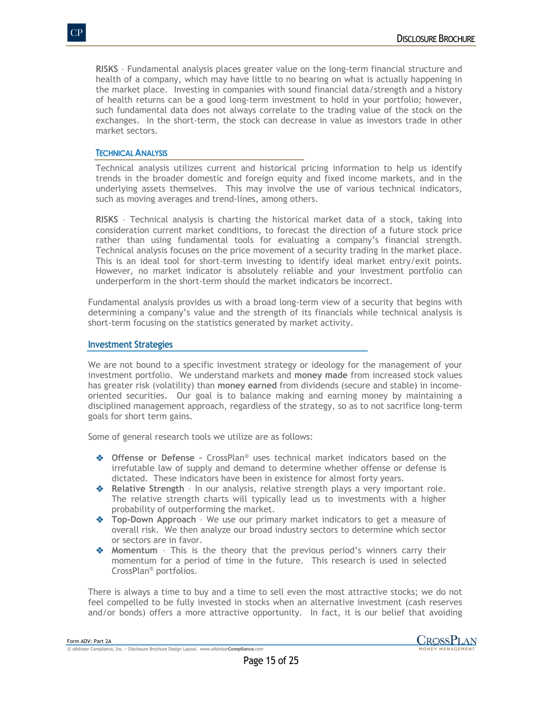**RISKS** – Fundamental analysis places greater value on the long-term financial structure and health of a company, which may have little to no bearing on what is actually happening in the market place. Investing in companies with sound financial data/strength and a history of health returns can be a good long-term investment to hold in your portfolio; however, such fundamental data does not always correlate to the trading value of the stock on the exchanges. In the short-term, the stock can decrease in value as investors trade in other market sectors.

### **TECHNICAL ANALYSIS**

Technical analysis utilizes current and historical pricing information to help us identify trends in the broader domestic and foreign equity and fixed income markets, and in the underlying assets themselves. This may involve the use of various technical indicators, such as moving averages and trend-lines, among others.

**RISKS** – Technical analysis is charting the historical market data of a stock, taking into consideration current market conditions, to forecast the direction of a future stock price rather than using fundamental tools for evaluating a company's financial strength. Technical analysis focuses on the price movement of a security trading in the market place. This is an ideal tool for short-term investing to identify ideal market entry/exit points. However, no market indicator is absolutely reliable and your investment portfolio can underperform in the short-term should the market indicators be incorrect.

Fundamental analysis provides us with a broad long-term view of a security that begins with determining a company's value and the strength of its financials while technical analysis is short-term focusing on the statistics generated by market activity.

### **Investment Strategies**

We are not bound to a specific investment strategy or ideology for the management of your investment portfolio. We understand markets and **money made** from increased stock values has greater risk (volatility) than **money earned** from dividends (secure and stable) in incomeoriented securities. Our goal is to balance making and earning money by maintaining a disciplined management approach, regardless of the strategy, so as to not sacrifice long-term goals for short term gains.

Some of general research tools we utilize are as follows:

- v **Offense or Defense –** CrossPlan® uses technical market indicators based on the irrefutable law of supply and demand to determine whether offense or defense is dictated. These indicators have been in existence for almost forty years.
- **EXECT ANALLY READIM** Formulation our analysis, relative strength plays a very important role. The relative strength charts will typically lead us to investments with a higher probability of outperforming the market.
- $\triangle$  **Top-Down Approach** We use our primary market indicators to get a measure of overall risk. We then analyze our broad industry sectors to determine which sector or sectors are in favor.
- **\*** Momentum This is the theory that the previous period's winners carry their momentum for a period of time in the future. This research is used in selected CrossPlan® portfolios.

There is always a time to buy and a time to sell even the most attractive stocks; we do not feel compelled to be fully invested in stocks when an alternative investment (cash reserves and/or bonds) offers a more attractive opportunity. In fact, it is our belief that avoiding

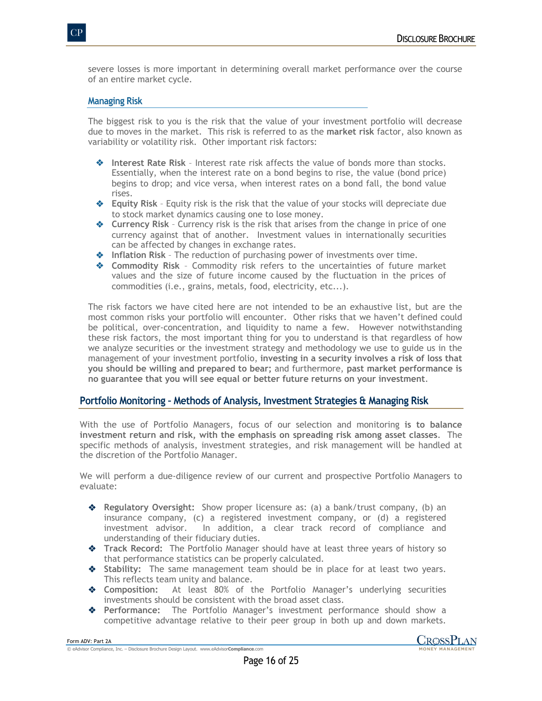severe losses is more important in determining overall market performance over the course of an entire market cycle.

## **Managing Risk**

The biggest risk to you is the risk that the value of your investment portfolio will decrease due to moves in the market. This risk is referred to as the **market risk** factor, also known as variability or volatility risk. Other important risk factors:

- $\triangleq$  Interest Rate Risk Interest rate risk affects the value of bonds more than stocks. Essentially, when the interest rate on a bond begins to rise, the value (bond price) begins to drop; and vice versa, when interest rates on a bond fall, the bond value rises.
- v **Equity Risk** Equity risk is the risk that the value of your stocks will depreciate due to stock market dynamics causing one to lose money.
- $\triangle$  Currency Risk Currency risk is the risk that arises from the change in price of one currency against that of another. Investment values in internationally securities can be affected by changes in exchange rates.
- $\triangleleft$  Inflation Risk The reduction of purchasing power of investments over time.
- v **Commodity Risk** Commodity risk refers to the uncertainties of future market values and the size of future income caused by the fluctuation in the prices of commodities (i.e., grains, metals, food, electricity, etc...).

The risk factors we have cited here are not intended to be an exhaustive list, but are the most common risks your portfolio will encounter. Other risks that we haven't defined could be political, over-concentration, and liquidity to name a few. However notwithstanding these risk factors, the most important thing for you to understand is that regardless of how we analyze securities or the investment strategy and methodology we use to guide us in the management of your investment portfolio, **investing in a security involves a risk of loss that you should be willing and prepared to bear;** and furthermore, **past market performance is no guarantee that you will see equal or better future returns on your investment**.

## **Portfolio Monitoring – Methods of Analysis, Investment Strategies & Managing Risk**

With the use of Portfolio Managers, focus of our selection and monitoring **is to balance investment return and risk, with the emphasis on spreading risk among asset classes**. The specific methods of analysis, investment strategies, and risk management will be handled at the discretion of the Portfolio Manager.

We will perform a due-diligence review of our current and prospective Portfolio Managers to evaluate:

- v **Regulatory Oversight:** Show proper licensure as: (a) a bank/trust company, (b) an insurance company, (c) a registered investment company, or (d) a registered investment advisor. In addition, a clear track record of compliance and understanding of their fiduciary duties.
- **\*** Track Record: The Portfolio Manager should have at least three years of history so that performance statistics can be properly calculated.
- $\triangle$  Stability: The same management team should be in place for at least two years. This reflects team unity and balance.
- **EXECOMPOSITION:** At least 80% of the Portfolio Manager's underlying securities investments should be consistent with the broad asset class.
- v **Performance:** The Portfolio Manager's investment performance should show a competitive advantage relative to their peer group in both up and down markets.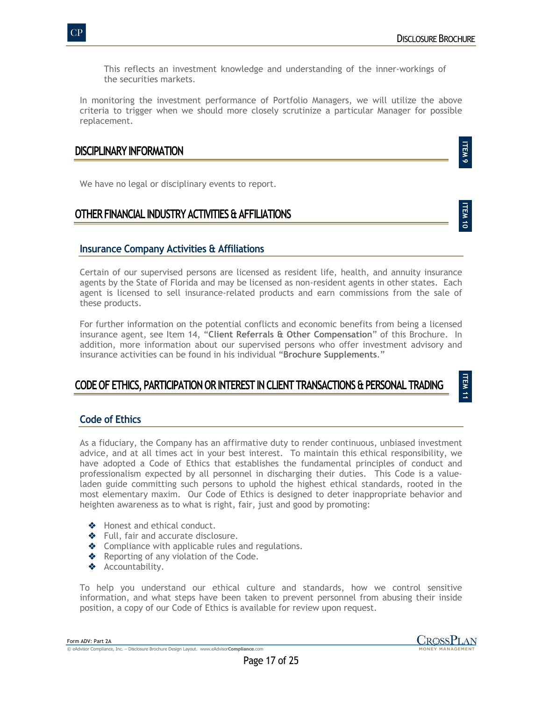This reflects an investment knowledge and understanding of the inner-workings of the securities markets.

In monitoring the investment performance of Portfolio Managers, we will utilize the above criteria to trigger when we should more closely scrutinize a particular Manager for possible replacement.

# **DISCIPLINARY INFORMATION**

We have no legal or disciplinary events to report.

# **OTHER FINANCIAL INDUSTRY ACTIVITIES & AFFILIATIONS**

**ITEM 11**

**ITEM 9**

# **Insurance Company Activities & Affiliations**

Certain of our supervised persons are licensed as resident life, health, and annuity insurance agents by the State of Florida and may be licensed as non-resident agents in other states. Each agent is licensed to sell insurance-related products and earn commissions from the sale of these products.

For further information on the potential conflicts and economic benefits from being a licensed insurance agent, see Item 14, "**Client Referrals & Other Compensation**" of this Brochure. In addition, more information about our supervised persons who offer investment advisory and insurance activities can be found in his individual "**Brochure Supplements**."

# **CODE OF ETHICS, PARTICIPATION OR INTEREST IN CLIENT TRANSACTIONS & PERSONAL TRADING**

# **Code of Ethics**

As a fiduciary, the Company has an affirmative duty to render continuous, unbiased investment advice, and at all times act in your best interest. To maintain this ethical responsibility, we have adopted a Code of Ethics that establishes the fundamental principles of conduct and professionalism expected by all personnel in discharging their duties. This Code is a valueladen guide committing such persons to uphold the highest ethical standards, rooted in the most elementary maxim. Our Code of Ethics is designed to deter inappropriate behavior and heighten awareness as to what is right, fair, just and good by promoting:

- ◆ Honest and ethical conduct.
- $\triangleleft$  Full, fair and accurate disclosure.
- $\triangle$  Compliance with applicable rules and regulations.
- $\triangle$  Reporting of any violation of the Code.
- ◆ Accountability.

To help you understand our ethical culture and standards, how we control sensitive information, and what steps have been taken to prevent personnel from abusing their inside position, a copy of our Code of Ethics is available for review upon request.

Form ADV: Part 2A © eAdvisor Compliance, Inc. – Disclosure Brochure Design Layout. www.eAdvisor**Compliance**.com

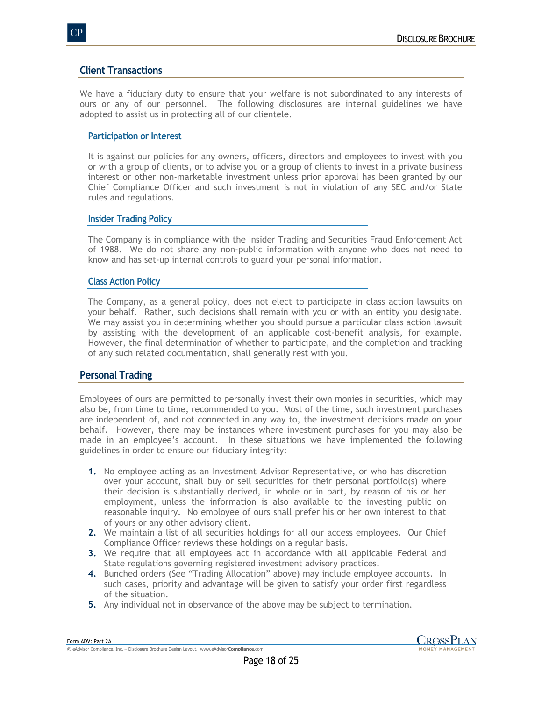# **Client Transactions**

We have a fiduciary duty to ensure that your welfare is not subordinated to any interests of ours or any of our personnel. The following disclosures are internal guidelines we have adopted to assist us in protecting all of our clientele.

# **Participation or Interest**

It is against our policies for any owners, officers, directors and employees to invest with you or with a group of clients, or to advise you or a group of clients to invest in a private business interest or other non-marketable investment unless prior approval has been granted by our Chief Compliance Officer and such investment is not in violation of any SEC and/or State rules and regulations.

# **Insider Trading Policy**

The Company is in compliance with the Insider Trading and Securities Fraud Enforcement Act of 1988. We do not share any non-public information with anyone who does not need to know and has set-up internal controls to guard your personal information.

## **Class Action Policy**

The Company, as a general policy, does not elect to participate in class action lawsuits on your behalf. Rather, such decisions shall remain with you or with an entity you designate. We may assist you in determining whether you should pursue a particular class action lawsuit by assisting with the development of an applicable cost-benefit analysis, for example. However, the final determination of whether to participate, and the completion and tracking of any such related documentation, shall generally rest with you.

# **Personal Trading**

Employees of ours are permitted to personally invest their own monies in securities, which may also be, from time to time, recommended to you. Most of the time, such investment purchases are independent of, and not connected in any way to, the investment decisions made on your behalf. However, there may be instances where investment purchases for you may also be made in an employee's account. In these situations we have implemented the following guidelines in order to ensure our fiduciary integrity:

- **1.** No employee acting as an Investment Advisor Representative, or who has discretion over your account, shall buy or sell securities for their personal portfolio(s) where their decision is substantially derived, in whole or in part, by reason of his or her employment, unless the information is also available to the investing public on reasonable inquiry. No employee of ours shall prefer his or her own interest to that of yours or any other advisory client.
- **2.** We maintain a list of all securities holdings for all our access employees. Our Chief Compliance Officer reviews these holdings on a regular basis.
- **3.** We require that all employees act in accordance with all applicable Federal and State regulations governing registered investment advisory practices.
- **4.** Bunched orders (See "Trading Allocation" above) may include employee accounts. In such cases, priority and advantage will be given to satisfy your order first regardless of the situation.
- **5.** Any individual not in observance of the above may be subject to termination.

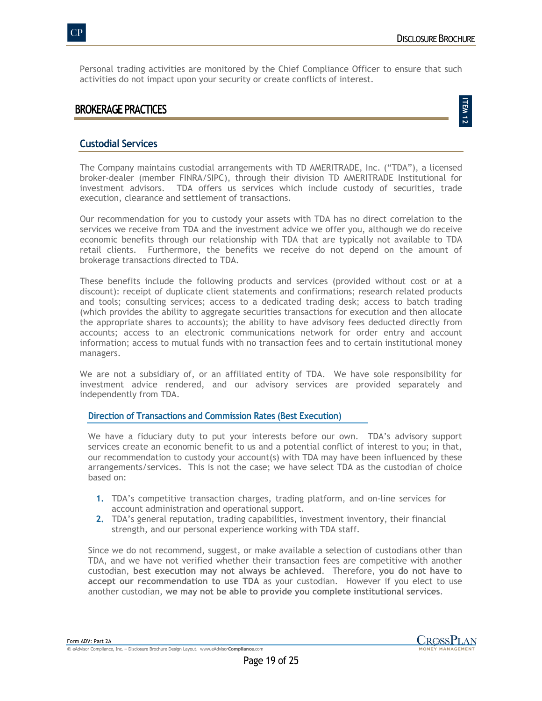Personal trading activities are monitored by the Chief Compliance Officer to ensure that such activities do not impact upon your security or create conflicts of interest.

# **BROKERAGE PRACTICES**

**ITEM 12**

# **Custodial Services**

The Company maintains custodial arrangements with TD AMERITRADE, Inc. ("TDA"), a licensed broker-dealer (member FINRA/SIPC), through their division TD AMERITRADE Institutional for investment advisors. TDA offers us services which include custody of securities, trade execution, clearance and settlement of transactions.

Our recommendation for you to custody your assets with TDA has no direct correlation to the services we receive from TDA and the investment advice we offer you, although we do receive economic benefits through our relationship with TDA that are typically not available to TDA retail clients. Furthermore, the benefits we receive do not depend on the amount of brokerage transactions directed to TDA.

These benefits include the following products and services (provided without cost or at a discount): receipt of duplicate client statements and confirmations; research related products and tools; consulting services; access to a dedicated trading desk; access to batch trading (which provides the ability to aggregate securities transactions for execution and then allocate the appropriate shares to accounts); the ability to have advisory fees deducted directly from accounts; access to an electronic communications network for order entry and account information; access to mutual funds with no transaction fees and to certain institutional money managers.

We are not a subsidiary of, or an affiliated entity of TDA. We have sole responsibility for investment advice rendered, and our advisory services are provided separately and independently from TDA.

## **Direction of Transactions and Commission Rates (Best Execution)**

We have a fiduciary duty to put your interests before our own. TDA's advisory support services create an economic benefit to us and a potential conflict of interest to you; in that, our recommendation to custody your account(s) with TDA may have been influenced by these arrangements/services. This is not the case; we have select TDA as the custodian of choice based on:

- **1.** TDA's competitive transaction charges, trading platform, and on-line services for account administration and operational support.
- **2.** TDA's general reputation, trading capabilities, investment inventory, their financial strength, and our personal experience working with TDA staff.

Since we do not recommend, suggest, or make available a selection of custodians other than TDA, and we have not verified whether their transaction fees are competitive with another custodian, **best execution may not always be achieved**. Therefore, **you do not have to accept our recommendation to use TDA** as your custodian. However if you elect to use another custodian, **we may not be able to provide you complete institutional services**.

Form ADV: Part 2A © eAdvisor Compliance, Inc. – Disclosure Brochure Design Layout. www.eAdvisor**Compliance**.com

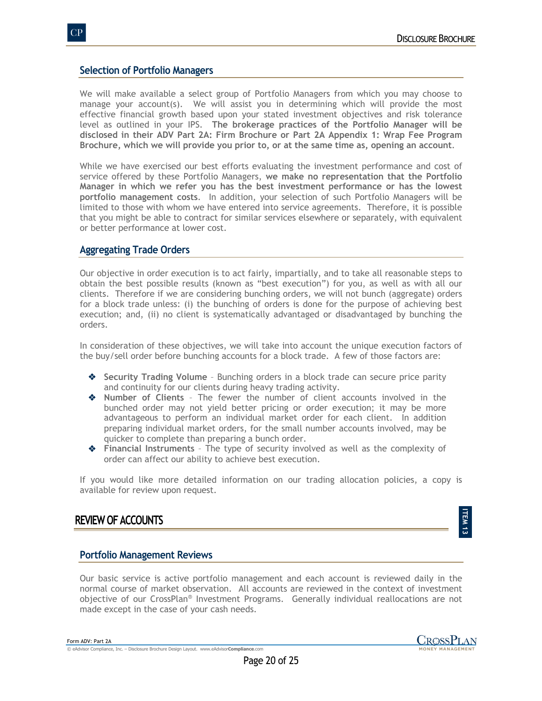# **Selection of Portfolio Managers**

We will make available a select group of Portfolio Managers from which you may choose to manage your account(s). We will assist you in determining which will provide the most effective financial growth based upon your stated investment objectives and risk tolerance level as outlined in your IPS. **The brokerage practices of the Portfolio Manager will be disclosed in their ADV Part 2A: Firm Brochure or Part 2A Appendix 1: Wrap Fee Program Brochure, which we will provide you prior to, or at the same time as, opening an account**.

While we have exercised our best efforts evaluating the investment performance and cost of service offered by these Portfolio Managers, **we make no representation that the Portfolio Manager in which we refer you has the best investment performance or has the lowest portfolio management costs**. In addition, your selection of such Portfolio Managers will be limited to those with whom we have entered into service agreements. Therefore, it is possible that you might be able to contract for similar services elsewhere or separately, with equivalent or better performance at lower cost.

# **Aggregating Trade Orders**

Our objective in order execution is to act fairly, impartially, and to take all reasonable steps to obtain the best possible results (known as "best execution") for you, as well as with all our clients. Therefore if we are considering bunching orders, we will not bunch (aggregate) orders for a block trade unless: (i) the bunching of orders is done for the purpose of achieving best execution; and, (ii) no client is systematically advantaged or disadvantaged by bunching the orders.

In consideration of these objectives, we will take into account the unique execution factors of the buy/sell order before bunching accounts for a block trade. A few of those factors are:

- **◆** Security Trading Volume Bunching orders in a block trade can secure price parity and continuity for our clients during heavy trading activity.
- v **Number of Clients** The fewer the number of client accounts involved in the bunched order may not yield better pricing or order execution; it may be more advantageous to perform an individual market order for each client. In addition preparing individual market orders, for the small number accounts involved, may be quicker to complete than preparing a bunch order.
- $\triangle$  Financial Instruments The type of security involved as well as the complexity of order can affect our ability to achieve best execution.

If you would like more detailed information on our trading allocation policies, a copy is available for review upon request.

# **REVIEW OF ACCOUNTS**

# **ITEM** نہ<br>س

## **Portfolio Management Reviews**

Our basic service is active portfolio management and each account is reviewed daily in the normal course of market observation. All accounts are reviewed in the context of investment objective of our CrossPlan® Investment Programs. Generally individual reallocations are not made except in the case of your cash needs.



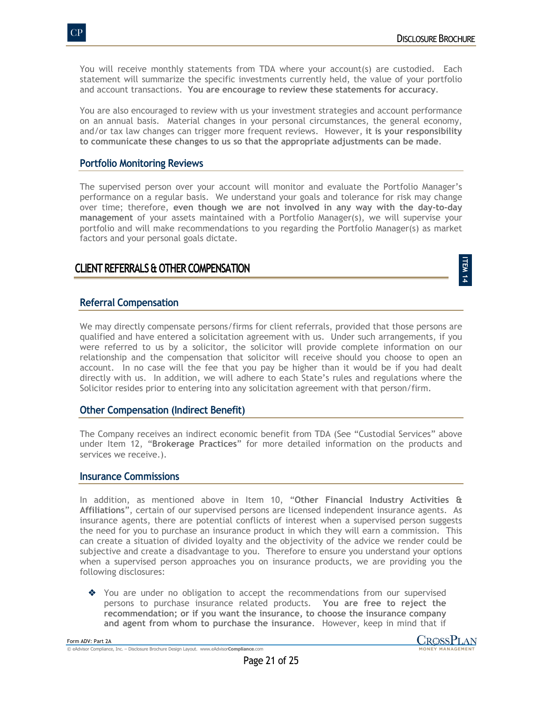**ITEM 14**

You will receive monthly statements from TDA where your account(s) are custodied. Each statement will summarize the specific investments currently held, the value of your portfolio and account transactions. **You are encourage to review these statements for accuracy**.

You are also encouraged to review with us your investment strategies and account performance on an annual basis. Material changes in your personal circumstances, the general economy, and/or tax law changes can trigger more frequent reviews. However, **it is your responsibility to communicate these changes to us so that the appropriate adjustments can be made**.

# **Portfolio Monitoring Reviews**

The supervised person over your account will monitor and evaluate the Portfolio Manager's performance on a regular basis. We understand your goals and tolerance for risk may change over time; therefore, **even though we are not involved in any way with the day-to-day management** of your assets maintained with a Portfolio Manager(s), we will supervise your portfolio and will make recommendations to you regarding the Portfolio Manager(s) as market factors and your personal goals dictate.

# **CLIENT REFERRALS & OTHER COMPENSATION**

# **Referral Compensation**

We may directly compensate persons/firms for client referrals, provided that those persons are qualified and have entered a solicitation agreement with us. Under such arrangements, if you were referred to us by a solicitor, the solicitor will provide complete information on our relationship and the compensation that solicitor will receive should you choose to open an account. In no case will the fee that you pay be higher than it would be if you had dealt directly with us. In addition, we will adhere to each State's rules and regulations where the Solicitor resides prior to entering into any solicitation agreement with that person/firm.

# **Other Compensation (Indirect Benefit)**

The Company receives an indirect economic benefit from TDA (See "Custodial Services" above under Item 12, "**Brokerage Practices**" for more detailed information on the products and services we receive.).

# **Insurance Commissions**

In addition, as mentioned above in Item 10, "**Other Financial Industry Activities & Affiliations**", certain of our supervised persons are licensed independent insurance agents. As insurance agents, there are potential conflicts of interest when a supervised person suggests the need for you to purchase an insurance product in which they will earn a commission. This can create a situation of divided loyalty and the objectivity of the advice we render could be subjective and create a disadvantage to you. Therefore to ensure you understand your options when a supervised person approaches you on insurance products, we are providing you the following disclosures:

◆ You are under no obligation to accept the recommendations from our supervised persons to purchase insurance related products. **You are free to reject the recommendation; or if you want the insurance, to choose the insurance company and agent from whom to purchase the insurance**. However, keep in mind that if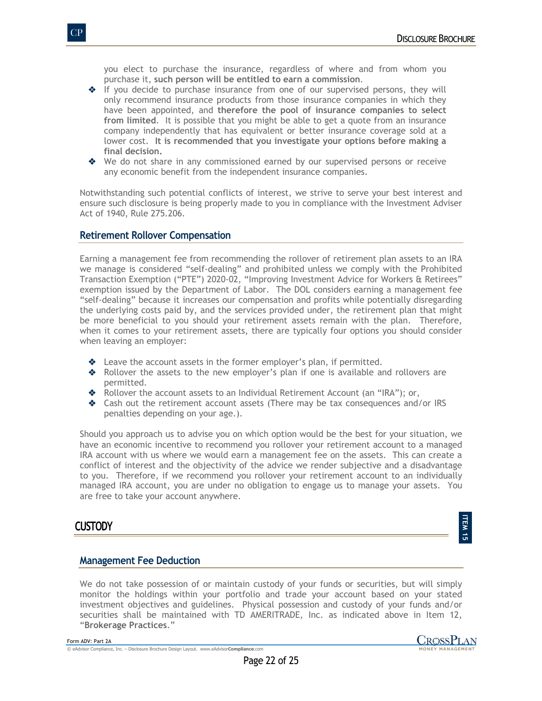you elect to purchase the insurance, regardless of where and from whom you purchase it, **such person will be entitled to earn a commission**.

- $\triangleq$  If you decide to purchase insurance from one of our supervised persons, they will only recommend insurance products from those insurance companies in which they have been appointed, and **therefore the pool of insurance companies to select from limited**. It is possible that you might be able to get a quote from an insurance company independently that has equivalent or better insurance coverage sold at a lower cost. **It is recommended that you investigate your options before making a final decision.**
- ◆ We do not share in any commissioned earned by our supervised persons or receive any economic benefit from the independent insurance companies.

Notwithstanding such potential conflicts of interest, we strive to serve your best interest and ensure such disclosure is being properly made to you in compliance with the Investment Adviser Act of 1940, Rule 275.206.

## **Retirement Rollover Compensation**

Earning a management fee from recommending the rollover of retirement plan assets to an IRA we manage is considered "self-dealing" and prohibited unless we comply with the Prohibited Transaction Exemption ("PTE") 2020-02, "Improving Investment Advice for Workers & Retirees" exemption issued by the Department of Labor. The DOL considers earning a management fee "self-dealing" because it increases our compensation and profits while potentially disregarding the underlying costs paid by, and the services provided under, the retirement plan that might be more beneficial to you should your retirement assets remain with the plan. Therefore, when it comes to your retirement assets, there are typically four options you should consider when leaving an employer:

- $\triangleleft$  Leave the account assets in the former employer's plan, if permitted.
- $\triangle$  Rollover the assets to the new employer's plan if one is available and rollovers are permitted.
- ◆ Rollover the account assets to an Individual Retirement Account (an "IRA"); or,
- \* Cash out the retirement account assets (There may be tax consequences and/or IRS penalties depending on your age.).

Should you approach us to advise you on which option would be the best for your situation, we have an economic incentive to recommend you rollover your retirement account to a managed IRA account with us where we would earn a management fee on the assets. This can create a conflict of interest and the objectivity of the advice we render subjective and a disadvantage to you. Therefore, if we recommend you rollover your retirement account to an individually managed IRA account, you are under no obligation to engage us to manage your assets. You are free to take your account anywhere.

# **CUSTODY**

# **Management Fee Deduction**

We do not take possession of or maintain custody of your funds or securities, but will simply monitor the holdings within your portfolio and trade your account based on your stated investment objectives and guidelines. Physical possession and custody of your funds and/or securities shall be maintained with TD AMERITRADE, Inc. as indicated above in Item 12, "**Brokerage Practices**."

**ITEM** <u>ជា</u>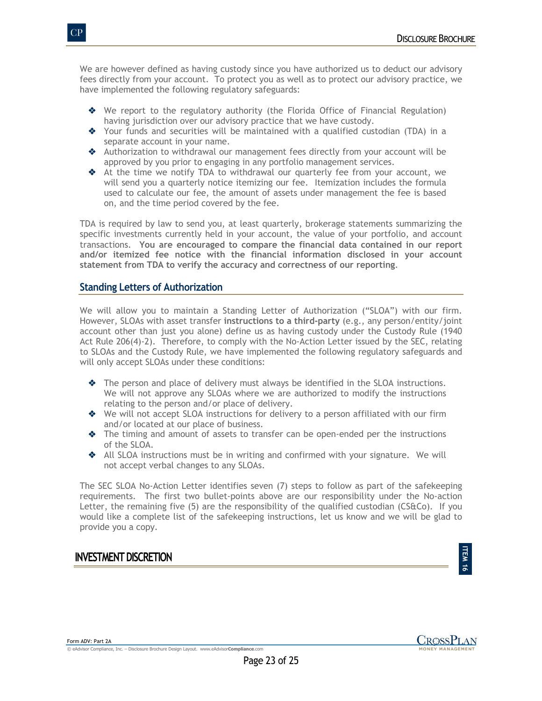We are however defined as having custody since you have authorized us to deduct our advisory fees directly from your account. To protect you as well as to protect our advisory practice, we have implemented the following regulatory safeguards:

- ◆ We report to the regulatory authority (the Florida Office of Financial Regulation) having jurisdiction over our advisory practice that we have custody.
- $\bullet$  Your funds and securities will be maintained with a qualified custodian (TDA) in a separate account in your name.
- $\triangleq$  Authorization to withdrawal our management fees directly from your account will be approved by you prior to engaging in any portfolio management services.
- \* At the time we notify TDA to withdrawal our quarterly fee from your account, we will send you a quarterly notice itemizing our fee. Itemization includes the formula used to calculate our fee, the amount of assets under management the fee is based on, and the time period covered by the fee.

TDA is required by law to send you, at least quarterly, brokerage statements summarizing the specific investments currently held in your account, the value of your portfolio, and account transactions. **You are encouraged to compare the financial data contained in our report and/or itemized fee notice with the financial information disclosed in your account statement from TDA to verify the accuracy and correctness of our reporting**.

# **Standing Letters of Authorization**

We will allow you to maintain a Standing Letter of Authorization ("SLOA") with our firm. However, SLOAs with asset transfer **instructions to a third-party** (e.g., any person/entity/joint account other than just you alone) define us as having custody under the Custody Rule (1940 Act Rule 206(4)-2). Therefore, to comply with the No-Action Letter issued by the SEC, relating to SLOAs and the Custody Rule, we have implemented the following regulatory safeguards and will only accept SLOAs under these conditions:

- $\bullet$  The person and place of delivery must always be identified in the SLOA instructions. We will not approve any SLOAs where we are authorized to modify the instructions relating to the person and/or place of delivery.
- ◆ We will not accept SLOA instructions for delivery to a person affiliated with our firm and/or located at our place of business.
- $\triangle$  The timing and amount of assets to transfer can be open-ended per the instructions of the SLOA.
- $\triangleq$  All SLOA instructions must be in writing and confirmed with your signature. We will not accept verbal changes to any SLOAs.

The SEC SLOA No-Action Letter identifies seven (7) steps to follow as part of the safekeeping requirements. The first two bullet-points above are our responsibility under the No-action Letter, the remaining five  $(5)$  are the responsibility of the qualified custodian  $(CS@CO)$ . If you would like a complete list of the safekeeping instructions, let us know and we will be glad to provide you a copy.

# **INVESTMENT DISCRETION**

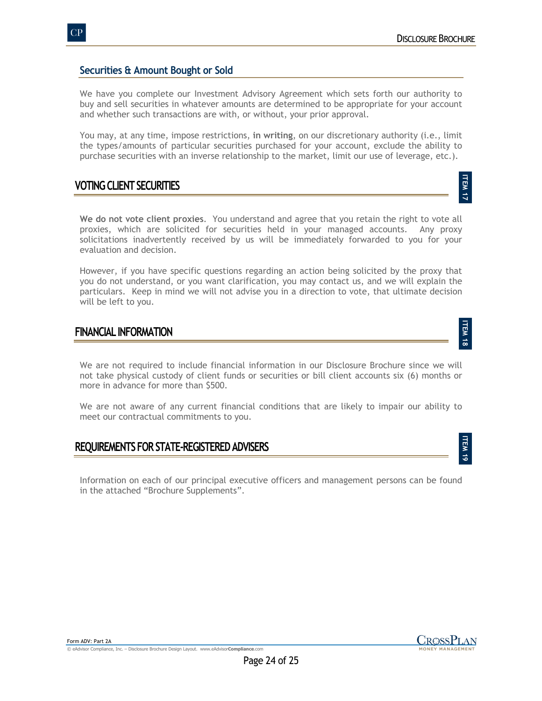**ITEM 17**

**ITEM** —<br>∞

**ITEM** ত<br>ত

# **Securities & Amount Bought or Sold**

We have you complete our Investment Advisory Agreement which sets forth our authority to buy and sell securities in whatever amounts are determined to be appropriate for your account and whether such transactions are with, or without, your prior approval.

You may, at any time, impose restrictions, **in writing**, on our discretionary authority (i.e., limit the types/amounts of particular securities purchased for your account, exclude the ability to purchase securities with an inverse relationship to the market, limit our use of leverage, etc.).

# **VOTING CLIENT SECURITIES**

**We do not vote client proxies**. You understand and agree that you retain the right to vote all proxies, which are solicited for securities held in your managed accounts. Any proxy solicitations inadvertently received by us will be immediately forwarded to you for your evaluation and decision.

However, if you have specific questions regarding an action being solicited by the proxy that you do not understand, or you want clarification, you may contact us, and we will explain the particulars. Keep in mind we will not advise you in a direction to vote, that ultimate decision will be left to you.

# **FINANCIAL INFORMATION**

We are not required to include financial information in our Disclosure Brochure since we will not take physical custody of client funds or securities or bill client accounts six (6) months or more in advance for more than \$500.

We are not aware of any current financial conditions that are likely to impair our ability to meet our contractual commitments to you.

# **REQUIREMENTS FOR STATE-REGISTERED ADVISERS**

Information on each of our principal executive officers and management persons can be found in the attached "Brochure Supplements".

© eAdvisor Compliance, Inc. – Disclosure Brochure Design Layout. www.eAdvisor**Compliance**.com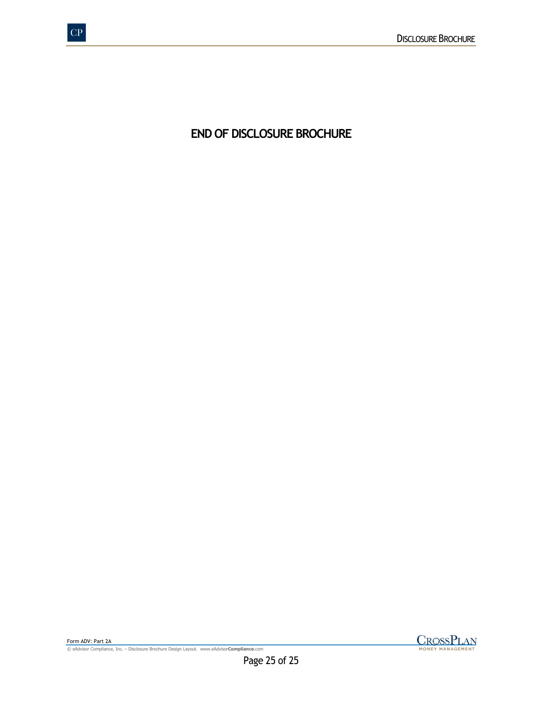**END OF DISCLOSURE BROCHURE**

© eAdvisor Compliance, Inc. – Disclosure Brochure Design Layout. www.eAdvisor**Compliance**.com

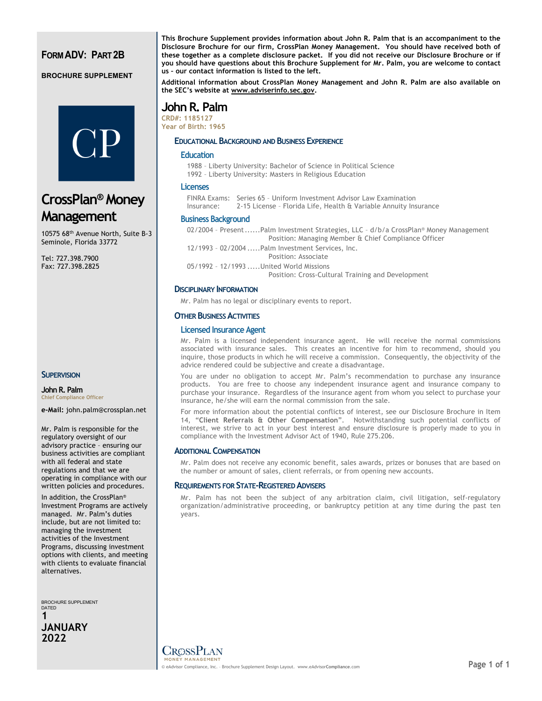# **FORM ADV: PART 2B**

#### **BROCHURE SUPPLEMENT**



**CrossPlan® Money Management**

10575 68th Avenue North, Suite B-3 Seminole, Florida 33772

Tel: 727.398.7900 Fax: 727.398.2825

**SUPERVISION** 

**John R. Palm Chief Compliance Officer**

**e-Mail:** john.palm@crossplan.net

Mr. Palm is responsible for the regulatory oversight of our advisory practice – ensuring our business activities are compliant with all federal and state regulations and that we are operating in compliance with our written policies and procedures.

In addition, the CrossPlan® Investment Programs are actively managed. Mr. Palm's duties include, but are not limited to: managing the investment activities of the Investment Programs, discussing investment options with clients, and meeting with clients to evaluate financial alternatives.

BROCHURE SUPPLEMENT DATED **1 JANUARY 2022**

**This Brochure Supplement provides information about John R. Palm that is an accompaniment to the Disclosure Brochure for our firm, CrossPlan Money Management. You should have received both of these together as a complete disclosure packet. If you did not receive our Disclosure Brochure or if you should have questions about this Brochure Supplement for Mr. Palm, you are welcome to contact us – our contact information is listed to the left.**

**Additional information about CrossPlan Money Management and John R. Palm are also available on the SEC's website at www.adviserinfo.sec.gov.**

# **John R. Palm**

**CRD#: 1185127 Year of Birth: 1965**

#### **EDUCATIONAL BACKGROUND AND BUSINESS EXPERIENCE**

#### **Education**

1988 – Liberty University: Bachelor of Science in Political Science 1992 – Liberty University: Masters in Religious Education

#### **Licenses**

FINRA Exams: Series 65 – Uniform Investment Advisor Law Examination Insurance: 2-15 License – Florida Life, Health & Variable Annuity Insurance

#### **Business Background**

02/2004 - Present......Palm Investment Strategies, LLC - d/b/a CrossPlan® Money Management Position: Managing Member & Chief Compliance Officer

12/1993 – 02/2004 .....Palm Investment Services, Inc. Position: Associate

05/1992 – 12/1993 .....United World Missions Position: Cross-Cultural Training and Development

#### **DISCIPLINARY INFORMATION**

Mr. Palm has no legal or disciplinary events to report.

#### **OTHER BUSINESS ACTIVITIES**

#### **Licensed Insurance Agent**

Mr. Palm is a licensed independent insurance agent. He will receive the normal commissions associated with insurance sales. This creates an incentive for him to recommend, should you inquire, those products in which he will receive a commission. Consequently, the objectivity of the advice rendered could be subjective and create a disadvantage.

You are under no obligation to accept Mr. Palm's recommendation to purchase any insurance products. You are free to choose any independent insurance agent and insurance company to purchase your insurance. Regardless of the insurance agent from whom you select to purchase your insurance, he/she will earn the normal commission from the sale.

For more information about the potential conflicts of interest, see our Disclosure Brochure in Item 14, "**Client Referrals & Other Compensation**". Notwithstanding such potential conflicts of interest, we strive to act in your best interest and ensure disclosure is properly made to you in compliance with the Investment Advisor Act of 1940, Rule 275.206.

#### **ADDITIONAL COMPENSATION**

Mr. Palm does not receive any economic benefit, sales awards, prizes or bonuses that are based on the number or amount of sales, client referrals, or from opening new accounts.

#### **REQUIREMENTS FOR STATE-REGISTERED ADVISERS**

Mr. Palm has not been the subject of any arbitration claim, civil litigation, self-regulatory organization/administrative proceeding, or bankruptcy petition at any time during the past ten years.